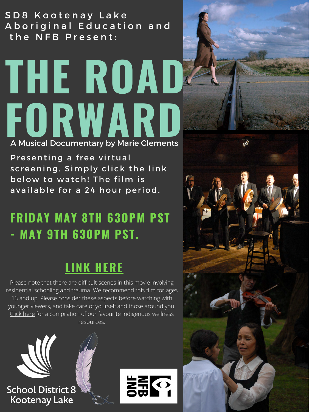S D 8 K o o t e n a y L a k e Aboriginal Education and the NFB Present:

## **THE ROAD FORWARD**

## **FRIDAY MAY 8TH 63OPM PST - MAY 9TH 630PM PST.**

## **[LINK HERE](https://vimeo.com/413215002/fe7afe76f4)**

A Musical Documentary by Marie Clements

Presenting a free virtual screening. Simply click the link below to watch! The film is available for a 24 hour period.





Please note that there are difficult scenes in this movie involving residential schooling and trauma. We recommend this film for ages 13 and up. Please consider these aspects before watching with younger viewers, and take care of yourself and those around you. [Click here](https://aboriginal.sd8.bc.ca/blog/indigenous-wellness-resources) for a compilation of our favourite Indigenous wellness [resources.](https://www.eventbrite.ca/e/nurturing-equity-awareness-presents-the-road-forward-tickets-75943696641)

**School District 8 Kootenay Lake** 

 $\begin{array}{c} \frac{\sqrt{3}}{2} \leftarrow 0 \\ \frac{\sqrt{3}}{2} \leftarrow 0 \\ \frac{\sqrt{3}}{2} \leftarrow 0 \end{array}$